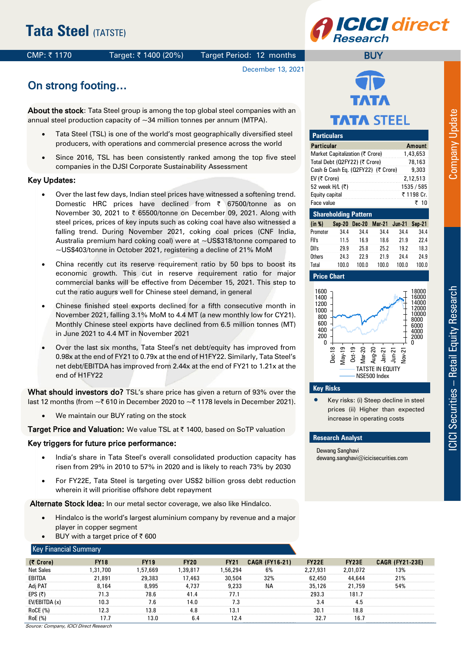## CMP: ₹1170 Target: ₹1400 (20%) Target Period: 12 months

## December 13, 2021



**BUY** 

# On strong footing…

About the stock: Tata Steel group is among the top global steel companies with an annual steel production capacity of  $\sim$ 34 million tonnes per annum (MTPA).

- Tata Steel (TSL) is one of the world's most geographically diversified steel producers, with operations and commercial presence across the world
- Since 2016, TSL has been consistently ranked among the top five steel companies in the DJSI Corporate Sustainability Assessment

#### Key Updates:

- $\bullet$ Over the last few days, Indian steel prices have witnessed a softening trend. Domestic HRC prices have declined from  $\bar{\tau}$  67500/tonne as on November 30, 2021 to  $\bar{\tau}$  65500/tonne on December 09, 2021. Along with steel prices, prices of key inputs such as coking coal have also witnessed a falling trend. During November 2021, coking coal prices (CNF India, Australia premium hard coking coal) were at ~US\$318/tonne compared to ~US\$403/tonne in October 2021, registering a decline of 21% MoM
- $\bullet$ China recently cut its reserve requirement ratio by 50 bps to boost its economic growth. This cut in reserve requirement ratio for major commercial banks will be effective from December 15, 2021. This step to cut the ratio augurs well for Chinese steel demand, in general
- $\bullet$ Chinese finished steel exports declined for a fifth consecutive month in November 2021, falling 3.1% MoM to 4.4 MT (a new monthly low for CY21). Monthly Chinese steel exports have declined from 6.5 million tonnes (MT) in June 2021 to 4.4 MT in November 2021
- $\bullet$ Over the last six months, Tata Steel's net debt/equity has improved from 0.98x at the end of FY21 to 0.79x at the end of H1FY22. Similarly, Tata Steel's net debt/EBITDA has improved from 2.44x at the end of FY21 to 1.21x at the end of H1FY22

What should investors do? TSL's share price has given a return of 93% over the last 12 months (from  $\sim$  ₹ 610 in December 2020 to  $\sim$  ₹ 1178 levels in December 2021).

We maintain our BUY rating on the stock

Target Price and Valuation: We value TSL at ₹ 1400, based on SoTP valuation

### Key triggers for future price performance:

- India's share in Tata Steel's overall consolidated production capacity has risen from 29% in 2010 to 57% in 2020 and is likely to reach 73% by 2030
- For FY22E, Tata Steel is targeting over US\$2 billion gross debt reduction wherein it will prioritise offshore debt repayment

Alternate Stock Idea: In our metal sector coverage, we also like Hindalco.

- Hindalco is the world's largest aluminium company by revenue and a major player in copper segment
- BUY with a target price of  $\bar{z}$  600

### Key Financial Summary

|                                        | BUT WILL a larger price of < ouu |             |             |             |                       |          |          |                        |  |
|----------------------------------------|----------------------------------|-------------|-------------|-------------|-----------------------|----------|----------|------------------------|--|
| <b>Key Financial Summary</b>           |                                  |             |             |             |                       |          |          |                        |  |
| (₹ Crore)                              | <b>FY18</b>                      | <b>FY19</b> | <b>FY20</b> | <b>FY21</b> | <b>CAGR (FY16-21)</b> | FY22E    | FY23E    | <b>CAGR (FY21-23E)</b> |  |
| <b>Net Sales</b>                       | .31.700                          | .57.669     | .39.817     | .56.294     | 6%                    | 2.27.931 | 2.01.072 | 13%                    |  |
| EBITDA                                 | 21,891                           | 29.383      | 17,463      | 30,504      | 32%                   | 62,450   | 44,644   | 21%                    |  |
| Adj PAT                                | 8.164                            | 8,995       | 4.737       | 9,233       | ΝA                    | 35,126   | 21,759   | 54%                    |  |
| EPS $(5)$                              |                                  | 78.6        | 41 4        |             |                       | 293.3    | 181.7    |                        |  |
| EV/EBITDA (x)                          | 10 G                             | 5.          | 14 N        | 7.3         |                       |          |          |                        |  |
| RoCE (%)                               |                                  | 13.8        | 4.8         | 13.1        |                       | 30.1     | 18.8     |                        |  |
| RoE (%)                                |                                  | 13.0        | 6.4         | 12.4        |                       | 32.7     | 16.      |                        |  |
| Source: Company, ICICI Direct Research |                                  |             |             |             |                       |          |          |                        |  |



| <b>Particulars</b>                          |      |                                 |      |      |            |  |  |  |  |  |
|---------------------------------------------|------|---------------------------------|------|------|------------|--|--|--|--|--|
| Particular                                  |      | <b>Amount</b>                   |      |      |            |  |  |  |  |  |
|                                             |      | Market Capitalization (₹ Crore) |      |      | 1,43,653   |  |  |  |  |  |
| Total Debt (Q2FY22) (₹ Crore)               |      | 78,163                          |      |      |            |  |  |  |  |  |
| Cash & Cash Eq. (02FY22) (₹ Crore)<br>9,303 |      |                                 |      |      |            |  |  |  |  |  |
| EV (₹ Crore)                                |      |                                 |      |      | 2.12.513   |  |  |  |  |  |
| 52 week H/L (₹)                             |      |                                 |      |      | 1535 / 585 |  |  |  |  |  |
| Equity capital                              |      |                                 |      |      | ₹ 1198 Cr. |  |  |  |  |  |
| Face value                                  |      |                                 |      |      | ₹ 10       |  |  |  |  |  |
|                                             |      | <b>Shareholding Pattern</b>     |      |      |            |  |  |  |  |  |
| (in %)                                      |      | Sep-20 Dec-20 Mar-21 Jun-21     |      |      | Sep-21     |  |  |  |  |  |
| Promoter                                    | 34.4 | 34.4                            | 34.4 | 34.4 | 34.4       |  |  |  |  |  |
| Ell's                                       | 11 E | 1 C O                           | 10 C | າາດ  | າາ 1       |  |  |  |  |  |

| (in %)   |       |       | Sep-20 Dec-20 Mar-21 Jun-21 Sep-21 |       |       |
|----------|-------|-------|------------------------------------|-------|-------|
| Promoter | 34.4  | 34.4  | 34.4                               | 34.4  | 34.4  |
| FII's    | 11.5  | 16.9  | 18.6                               | 21.9  | 22.4  |
| DII's    | 29.9  | 25.8  | 25.2                               | 19.2  | 18.3  |
| Others   | 24.3  | 22.9  | 21.9                               | 24.4  | 24.9  |
| Total    | 100.0 | 100.0 | 100.0                              | 100.0 | 100.0 |





### **Key Risks**

 Key risks: (i) Steep decline in steel prices (ii) Higher than expected increase in operating costs

#### **Research Analyst**

Dewang Sanghavi dewang.sanghavi@icicisecurities.com **Company Update** 

|     |  | 4 |  |
|-----|--|---|--|
|     |  |   |  |
| KoE |  |   |  |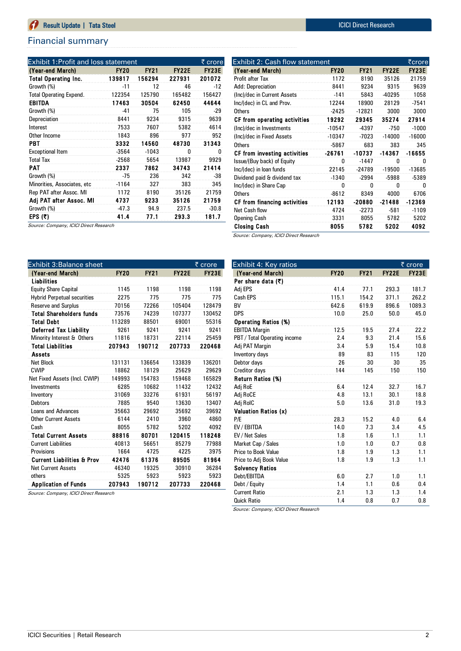# Financial summary

| Exhibit 1:Profit and loss statement |             |             |              | ₹ crore      |
|-------------------------------------|-------------|-------------|--------------|--------------|
| (Year-end March)                    | <b>FY20</b> | <b>FY21</b> | <b>FY22E</b> | <b>FY23E</b> |
| <b>Total Operating Inc.</b>         | 139817      | 156294      | 227931       | 201072       |
| Growth (%)                          | -11         | 12          | 46           | $-12$        |
| <b>Total Operating Expend.</b>      | 122354      | 125790      | 165482       | 156427       |
| <b>EBITDA</b>                       | 17463       | 30504       | 62450        | 44644        |
| Growth (%)                          | -41         | 75          | 105          | $-29$        |
| Depreciation                        | 8441        | 9234        | 9315         | 9639         |
| Interest                            | 7533        | 7607        | 5382         | 4614         |
| Other Income                        | 1843        | 896         | 977          | 952          |
| <b>PBT</b>                          | 3332        | 14560       | 48730        | 31343        |
| <b>Exceptional Item</b>             | $-3564$     | $-1043$     | 0            | 0            |
| <b>Total Tax</b>                    | $-2568$     | 5654        | 13987        | 9929         |
| PAT                                 | 2337        | 7862        | 34743        | 21414        |
| Growth (%)                          | -75         | 236         | 342          | -38          |
| Minorities, Associates, etc         | $-1164$     | 327         | 383          | 345          |
| Rep PAT after Assoc. MI             | 1172        | 8190        | 35126        | 21759        |
| Adj PAT after Assoc. MI             | 4737        | 9233        | 35126        | 21759        |
| Growth (%)                          | $-47.3$     | 94.9        | 237.5        | $-30.8$      |
| EPS $(5)$                           | 41.4        | 77.1        | 293.3        | 181.7        |

| .                                      |  |
|----------------------------------------|--|
| Source: Company, ICICI Direct Research |  |

| Exhibit 3:Balance sheet               |             |             |              | ₹ crore      |
|---------------------------------------|-------------|-------------|--------------|--------------|
| (Year-end March)                      | <b>FY20</b> | <b>FY21</b> | <b>FY22E</b> | <b>FY23E</b> |
| Liabilities                           |             |             |              |              |
| <b>Equity Share Capital</b>           | 1145        | 1198        | 1198         | 1198         |
| <b>Hybrid Perpetual securities</b>    | 2275        | 775         | 775          | 775          |
| <b>Reserve and Surplus</b>            | 70156       | 72266       | 105404       | 128479       |
| <b>Total Shareholders funds</b>       | 73576       | 74239       | 107377       | 130452       |
| <b>Total Debt</b>                     | 113289      | 88501       | 69001        | 55316        |
| <b>Deferred Tax Liability</b>         | 9261        | 9241        | 9241         | 9241         |
| Minority Interest & Others            | 11816       | 18731       | 22114        | 25459        |
| <b>Total Liabilities</b>              | 207943      | 190712      | 207733       | 220468       |
| <b>Assets</b>                         |             |             |              |              |
| Net Block                             | 131131      | 136654      | 133839       | 136201       |
| <b>CWIP</b>                           | 18862       | 18129       | 25629        | 29629        |
| Net Fixed Assets (Incl. CWIP)         | 149993      | 154783      | 159468       | 165829       |
| Investments                           | 6285        | 10682       | 11432        | 12432        |
| Inventory                             | 31069       | 33276       | 61931        | 56197        |
| <b>Debtors</b>                        | 7885        | 9540        | 13630        | 13407        |
| Loans and Advances                    | 35663       | 29692       | 35692        | 39692        |
| <b>Other Current Assets</b>           | 6144        | 2410        | 3960         | 4860         |
| Cash                                  | 8055        | 5782        | 5202         | 4092         |
| <b>Total Current Assets</b>           | 88816       | 80701       | 120415       | 118248       |
| <b>Current Liabilities</b>            | 40813       | 56651       | 85279        | 77988        |
| Provisions                            | 1664        | 4725        | 4225         | 3975         |
| <b>Current Liabilities &amp; Prov</b> | 42476       | 61376       | 89505        | 81964        |
| <b>Net Current Assets</b>             | 46340       | 19325       | 30910        | 36284        |
| others                                | 5325        | 5923        | 5923         | 5923         |
| <b>Application of Funds</b>           | 207943      | 190712      | 207733       | 220468       |

Source: Company, ICICI Direct Research

| Exhibit 2: Cash flow statement<br>₹crore |             |             |              |              |  |  |  |  |  |  |
|------------------------------------------|-------------|-------------|--------------|--------------|--|--|--|--|--|--|
| (Year-end March)                         | <b>FY20</b> | <b>FY21</b> | <b>FY22E</b> | <b>FY23E</b> |  |  |  |  |  |  |
| Profit after Tax                         | 1172        | 8190        | 35126        | 21759        |  |  |  |  |  |  |
| Add: Depreciation                        | 8441        | 9234        | 9315         | 9639         |  |  |  |  |  |  |
| (Inc)/dec in Current Assets              | $-141$      | 5843        | $-40295$     | 1058         |  |  |  |  |  |  |
| Inc/(dec) in CL and Prov.                | 12244       | 18900       | 28129        | $-7541$      |  |  |  |  |  |  |
| Others                                   | $-2425$     | $-12821$    | 3000         | 3000         |  |  |  |  |  |  |
| CF from operating activities             | 19292       | 29345       | 35274        | 27914        |  |  |  |  |  |  |
| (Inc)/dec in Investments                 | $-10547$    | -4397       | $-750$       | $-1000$      |  |  |  |  |  |  |
| (Inc)/dec in Fixed Assets                | $-10347$    | $-7023$     | $-14000$     | $-16000$     |  |  |  |  |  |  |
| Others                                   | -5867       | 683         | 383          | 345          |  |  |  |  |  |  |
| CF from investing activities             | $-26761$    | $-10737$    | $-14367$     | -16655       |  |  |  |  |  |  |
| Issue/(Buy back) of Equity               | 0           | $-1447$     | 0            | 0            |  |  |  |  |  |  |
| Inc/(dec) in loan funds                  | 22145       | $-24789$    | $-19500$     | $-13685$     |  |  |  |  |  |  |
| Dividend paid & dividend tax             | $-1340$     | $-2994$     | $-5988$      | -5389        |  |  |  |  |  |  |
| Inc/(dec) in Share Cap                   | 0           | 0           | 0            | 0            |  |  |  |  |  |  |
| <b>Others</b>                            | $-8612$     | 8349        | 4000         | 6706         |  |  |  |  |  |  |
| CF from financing activities             | 12193       | -20880      | $-21488$     | $-12369$     |  |  |  |  |  |  |
| Net Cash flow                            | 4724        | $-2273$     | $-581$       | $-1109$      |  |  |  |  |  |  |
| Opening Cash                             | 3331        | 8055        | 5782         | 5202         |  |  |  |  |  |  |
| <b>Closing Cash</b>                      | 8055        | 5782        | 5202         | 4092         |  |  |  |  |  |  |

Source: Company, ICICI Direct Research

| Exhibit 4: Key ratios        |             |             | ₹ crore      |              |  |  |
|------------------------------|-------------|-------------|--------------|--------------|--|--|
| (Year-end March)             | <b>FY20</b> | <b>FY21</b> | <b>FY22E</b> | <b>FY23E</b> |  |  |
| Per share data (₹)           |             |             |              |              |  |  |
| Adj EPS                      | 41.4        | 77.1        | 293.3        | 181.7        |  |  |
| Cash EPS                     | 115.1       | 154.2       | 371.1        | 262.2        |  |  |
| <b>BV</b>                    | 642.6       | 619.9       | 896.6        | 1089.3       |  |  |
| <b>DPS</b>                   | 10.0        | 25.0        | 50.0         | 45.0         |  |  |
| <b>Operating Ratios (%)</b>  |             |             |              |              |  |  |
| <b>EBITDA Margin</b>         | 12.5        | 19.5        | 27.4         | 22.2         |  |  |
| PBT / Total Operating income | 2.4         | 9.3         | 21.4         | 15.6         |  |  |
| Adj PAT Margin               | 3.4         | 5.9         | 15.4         | 10.8         |  |  |
| Inventory days               | 89          | 83          | 115          | 120          |  |  |
| Debtor days                  | 26          | 30          | 30           | 35           |  |  |
| Creditor days                | 144         | 145         | 150          | 150          |  |  |
| Return Ratios (%)            |             |             |              |              |  |  |
| Adj RoE                      | 6.4         | 12.4        | 32.7         | 16.7         |  |  |
| Adj RoCE                     | 4.8         | 13.1        | 30.1         | 18.8         |  |  |
| Adj RoIC                     | 5.0         | 13.6        | 31.0         | 19.3         |  |  |
| <b>Valuation Ratios (x)</b>  |             |             |              |              |  |  |
| P/E                          | 28.3        | 15.2        | 4.0          | 6.4          |  |  |
| EV / EBITDA                  | 14.0        | 7.3         | 3.4          | 4.5          |  |  |
| EV / Net Sales               | 1.8         | 1.6         | 1.1          | 1.1          |  |  |
| Market Cap / Sales           | 1.0         | 1.0         | 0.7          | 0.8          |  |  |
| Price to Book Value          | 1.8         | 1.9         | 1.3          | 1.1          |  |  |
| Price to Adj Book Value      | 1.8         | 1.9         | 1.3          | 1.1          |  |  |
| <b>Solvency Ratios</b>       |             |             |              |              |  |  |
| Debt/EBITDA                  | 6.0         | 2.7         | 1.0          | 1.1          |  |  |
| Debt / Equity                | 1.4         | 1.1         | 0.6          | 0.4          |  |  |
| <b>Current Ratio</b>         | 2.1         | 1.3         | 1.3          | 1.4          |  |  |
| <b>Quick Ratio</b>           | 1.4         | 0.8         | 0.7          | 0.8          |  |  |

Source: Company, ICICI Direct Research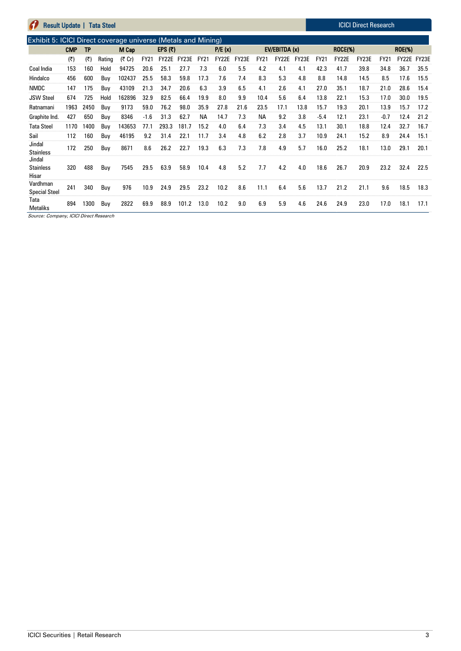| <b>Result Update  </b><br><b>Tata Steel</b> |                                                               |      |        |        |             |         |       |             |        | <b>ICICI Direct Research</b> |             |               |       |             |         |       |             |               |       |
|---------------------------------------------|---------------------------------------------------------------|------|--------|--------|-------------|---------|-------|-------------|--------|------------------------------|-------------|---------------|-------|-------------|---------|-------|-------------|---------------|-------|
|                                             | Exhibit 5: ICICI Direct coverage universe (Metals and Mining) |      |        |        |             |         |       |             |        |                              |             |               |       |             |         |       |             |               |       |
|                                             | <b>CMP</b>                                                    | TP   |        | M Cap  |             | EPS (₹) |       |             | P/E(x) |                              |             | EV/EBITDA (x) |       |             | ROCE(%) |       |             | <b>ROE(%)</b> |       |
|                                             | (₹)                                                           | (₹)  | Rating | (そ Cr) | <b>FY21</b> | FY22E   | FY23E | <b>FY21</b> | FY22E  | FY23E                        | <b>FY21</b> | FY22E         | FY23E | <b>FY21</b> | FY22E   | FY23E | <b>FY21</b> | FY22E         | FY23E |
| Coal India                                  | 153                                                           | 160  | Hold   | 94725  | 20.6        | 25.1    | 27.7  | 7.3         | 6.0    | 5.5                          | 4.2         | 4.1           | 4.1   | 42.3        | 41.7    | 39.8  | 34.8        | 36.7          | 35.5  |
| Hindalco                                    | 456                                                           | 600  | Buy    | 102437 | 25.5        | 58.3    | 59.8  | 17.3        | 7.6    | 7.4                          | 8.3         | 5.3           | 4.8   | 8.8         | 14.8    | 14.5  | 8.5         | 17.6          | 15.5  |
| <b>NMDC</b>                                 | 147                                                           | 175  | Buy    | 43109  | 21.3        | 34.7    | 20.6  | 6.3         | 3.9    | 6.5                          | 4.1         | 2.6           | 4.1   | 27.0        | 35.1    | 18.7  | 21.0        | 28.6          | 15.4  |
| <b>JSW Steel</b>                            | 674                                                           | 725  | Hold   | 162896 | 32.9        | 82.5    | 66.4  | 19.9        | 8.0    | 9.9                          | 10.4        | 5.6           | 6.4   | 13.8        | 22.1    | 15.3  | 17.0        | 30.0          | 19.5  |
| Ratnamani                                   | 1963                                                          | 2450 | Buy    | 9173   | 59.0        | 76.2    | 98.0  | 35.9        | 27.8   | 21.6                         | 23.5        | 17.1          | 13.8  | 15.7        | 19.3    | 20.1  | 13.9        | 15.7          | 17.2  |
| Graphite Ind.                               | 427                                                           | 650  | Buy    | 8346   | $-1.6$      | 31.3    | 62.7  | <b>NA</b>   | 14.7   | 7.3                          | ΝA          | 9.2           | 3.8   | $-5.4$      | 12.1    | 23.1  | $-0.7$      | 12.4          | 21.2  |
| <b>Tata Steel</b>                           | 1170                                                          | 1400 | Buy    | 143653 | 77.1        | 293.3   | 181.7 | 15.2        | 4.0    | 6.4                          | 7.3         | 3.4           | 4.5   | 13.1        | 30.1    | 18.8  | 12.4        | 32.7          | 16.7  |
| Sail                                        | 112                                                           | 160  | Buy    | 46195  | 9.2         | 31.4    | 22.1  | 11.7        | 3.4    | 4.8                          | 6.2         | 2.8           | 3.7   | 10.9        | 24.1    | 15.2  | 8.9         | 24.4          | 15.1  |
| Jindal<br><b>Stainless</b>                  | 172                                                           | 250  | Buy    | 8671   | 8.6         | 26.2    | 22.7  | 19.3        | 6.3    | 7.3                          | 7.8         | 4.9           | 5.7   | 16.0        | 25.2    | 18.1  | 13.0        | 29.1          | 20.1  |
| Jindal<br><b>Stainless</b><br>Hisar         | 320                                                           | 488  | Buy    | 7545   | 29.5        | 63.9    | 58.9  | 10.4        | 4.8    | 5.2                          | 7.7         | 4.2           | 4.0   | 18.6        | 26.7    | 20.9  | 23.2        | 32.4          | 22.5  |
| Vardhman<br><b>Special Steel</b>            | 241                                                           | 340  | Buy    | 976    | 10.9        | 24.9    | 29.5  | 23.2        | 10.2   | 8.6                          | 11.1        | 6.4           | 5.6   | 13.7        | 21.2    | 21.1  | 9.6         | 18.5          | 18.3  |
| Tata<br><b>Metaliks</b>                     | 894                                                           | 1300 | Buy    | 2822   | 69.9        | 88.9    | 101.2 | 13.0        | 10.2   | 9.0                          | 6.9         | 5.9           | 4.6   | 24.6        | 24.9    | 23.0  | 17.0        | 18.1          | 17.1  |

Source: Company, ICICI Direct Research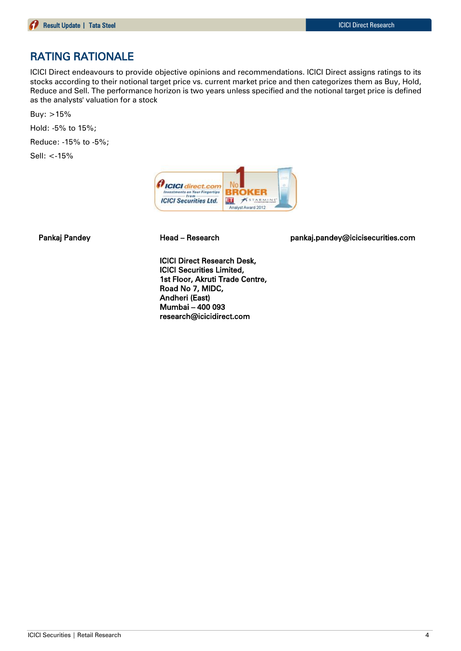# RATING RATIONALE

ICICI Direct endeavours to provide objective opinions and recommendations. ICICI Direct assigns ratings to its stocks according to their notional target price vs. current market price and then categorizes them as Buy, Hold, Reduce and Sell. The performance horizon is two years unless specified and the notional target price is defined as the analysts' valuation for a stock

Buy: >15%

Hold: -5% to 15%;

Reduce: -15% to -5%;

Sell: <-15%



Pankaj Pandey **Head – Research head pankaj.pandey@icicisecurities.com** 

ICICI Direct Research Desk, ICICI Securities Limited, 1st Floor, Akruti Trade Centre, Road No 7, MIDC, Andheri (East) Mumbai – 400 093 research@icicidirect.com